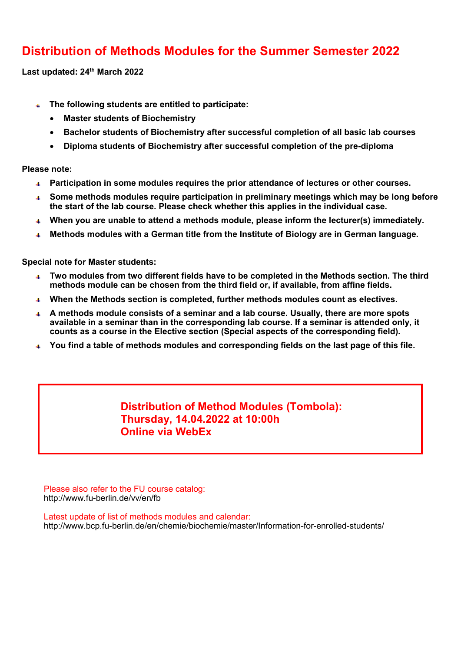### **Distribution of Methods Modules for the Summer Semester 2022**

**Last updated: 24th March 2022**

- **The following students are entitled to participate:** 
	- **Master students of Biochemistry**
	- **Bachelor students of Biochemistry after successful completion of all basic lab courses**
	- **Diploma students of Biochemistry after successful completion of the pre-diploma**

**Please note:**

- **Participation in some modules requires the prior attendance of lectures or other courses.**
- **Some methods modules require participation in preliminary meetings which may be long before the start of the lab course. Please check whether this applies in the individual case.**
- **When you are unable to attend a methods module, please inform the lecturer(s) immediately.**  $\pm$  .
- **Methods modules with a German title from the Institute of Biology are in German language.**

**Special note for Master students:**

- **Two modules from two different fields have to be completed in the Methods section. The third**   $\Delta \Gamma$ **methods module can be chosen from the third field or, if available, from affine fields.**
- **When the Methods section is completed, further methods modules count as electives.**
- **A methods module consists of a seminar and a lab course. Usually, there are more spots available in a seminar than in the corresponding lab course. If a seminar is attended only, it counts as a course in the Elective section (Special aspects of the corresponding field).**
- **You find a table of methods modules and corresponding fields on the last page of this file.**

#### **Distribution of Method Modules (Tombola): Thursday, 14.04.2022 at 10:00h Online via WebEx**

Please also refer to the FU course catalog: http://www.fu-berlin.de/vv/en/fb

Latest update of list of methods modules and calendar: http://www.bcp.fu-berlin.de/en/chemie/biochemie/master/Information-for-enrolled-students/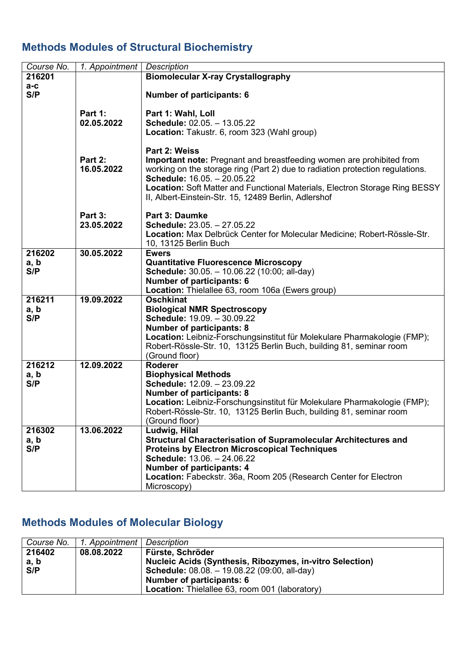## **Methods Modules of Structural Biochemistry**

| Course No.            | 1. Appointment        | <b>Description</b>                                                                                                                                                                                                                                                                                                                           |  |  |
|-----------------------|-----------------------|----------------------------------------------------------------------------------------------------------------------------------------------------------------------------------------------------------------------------------------------------------------------------------------------------------------------------------------------|--|--|
| 216201                |                       | <b>Biomolecular X-ray Crystallography</b>                                                                                                                                                                                                                                                                                                    |  |  |
| $a-c$<br>S/P          |                       | <b>Number of participants: 6</b>                                                                                                                                                                                                                                                                                                             |  |  |
|                       | Part 1:<br>02.05.2022 | Part 1: Wahl, Loll<br>Schedule: 02.05. - 13.05.22<br>Location: Takustr. 6, room 323 (Wahl group)                                                                                                                                                                                                                                             |  |  |
|                       | Part 2:<br>16.05.2022 | Part 2: Weiss<br>Important note: Pregnant and breastfeeding women are prohibited from<br>working on the storage ring (Part 2) due to radiation protection regulations.<br>Schedule: 16.05. - 20.05.22<br>Location: Soft Matter and Functional Materials, Electron Storage Ring BESSY<br>II, Albert-Einstein-Str. 15, 12489 Berlin, Adlershof |  |  |
|                       | Part 3:<br>23.05.2022 | <b>Part 3: Daumke</b><br>Schedule: 23.05. - 27.05.22<br>Location: Max Delbrück Center for Molecular Medicine; Robert-Rössle-Str.<br>10, 13125 Berlin Buch                                                                                                                                                                                    |  |  |
| 216202<br>a, b<br>S/P | 30.05.2022            | <b>Ewers</b><br><b>Quantitative Fluorescence Microscopy</b><br>Schedule: 30.05. - 10.06.22 (10:00; all-day)<br><b>Number of participants: 6</b><br>Location: Thielallee 63, room 106a (Ewers group)                                                                                                                                          |  |  |
| 216211<br>a, b<br>S/P | 19.09.2022            | <b>Oschkinat</b><br><b>Biological NMR Spectroscopy</b><br>Schedule: 19.09. - 30.09.22<br><b>Number of participants: 8</b><br>Location: Leibniz-Forschungsinstitut für Molekulare Pharmakologie (FMP);<br>Robert-Rössle-Str. 10, 13125 Berlin Buch, building 81, seminar room<br>(Ground floor)                                               |  |  |
| 216212<br>a, b<br>S/P | 12.09.2022            | <b>Roderer</b><br><b>Biophysical Methods</b><br>Schedule: 12.09. - 23.09.22<br><b>Number of participants: 8</b><br>Location: Leibniz-Forschungsinstitut für Molekulare Pharmakologie (FMP);<br>Robert-Rössle-Str. 10, 13125 Berlin Buch, building 81, seminar room<br>(Ground floor)                                                         |  |  |
| 216302<br>a, b<br>S/P | 13.06.2022            | Ludwig, Hilal<br>Structural Characterisation of Supramolecular Architectures and<br><b>Proteins by Electron Microscopical Techniques</b><br>Schedule: 13.06. - 24.06.22<br><b>Number of participants: 4</b><br>Location: Fabeckstr. 36a, Room 205 (Research Center for Electron<br>Microscopy)                                               |  |  |

# **Methods Modules of Molecular Biology**

| Course No. | 1. Appointment   Description |                                                                 |
|------------|------------------------------|-----------------------------------------------------------------|
| 216402     | 08.08.2022                   | Fürste, Schröder                                                |
| a, b       |                              | <b>Nucleic Acids (Synthesis, Ribozymes, in-vitro Selection)</b> |
| S/P        |                              | <b>Schedule:</b> 08.08. - 19.08.22 (09:00, all-day)             |
|            |                              | Number of participants: 6                                       |
|            |                              | <b>Location:</b> Thielallee 63, room 001 (laboratory)           |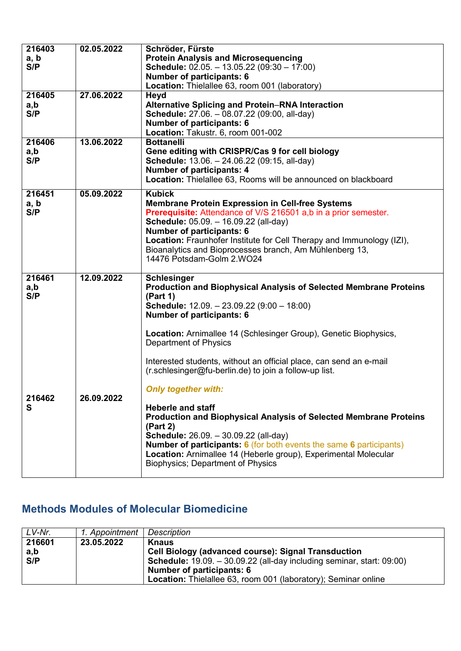| 216403<br>a, b<br>S/P | 02.05.2022 | Schröder, Fürste<br><b>Protein Analysis and Microsequencing</b><br><b>Schedule:</b> $02.05. - 13.05.22$ ( $09:30 - 17:00$ )<br><b>Number of participants: 6</b><br>Location: Thielallee 63, room 001 (laboratory)                                                                                                                                                                                                                                                                                                           |
|-----------------------|------------|-----------------------------------------------------------------------------------------------------------------------------------------------------------------------------------------------------------------------------------------------------------------------------------------------------------------------------------------------------------------------------------------------------------------------------------------------------------------------------------------------------------------------------|
| 216405<br>a,b<br>S/P  | 27.06.2022 | Heyd<br><b>Alternative Splicing and Protein-RNA Interaction</b><br>Schedule: 27.06. - 08.07.22 (09:00, all-day)<br><b>Number of participants: 6</b><br>Location: Takustr. 6, room 001-002                                                                                                                                                                                                                                                                                                                                   |
| 216406<br>a,b<br>S/P  | 13.06.2022 | <b>Bottanelli</b><br>Gene editing with CRISPR/Cas 9 for cell biology<br>Schedule: 13.06. - 24.06.22 (09:15, all-day)<br>Number of participants: 4<br>Location: Thielallee 63, Rooms will be announced on blackboard                                                                                                                                                                                                                                                                                                         |
| 216451<br>a, b<br>S/P | 05.09.2022 | <b>Kubick</b><br><b>Membrane Protein Expression in Cell-free Systems</b><br><b>Prerequisite:</b> Attendance of V/S 216501 a,b in a prior semester.<br>Schedule: 05.09. - 16.09.22 (all-day)<br><b>Number of participants: 6</b><br>Location: Fraunhofer Institute for Cell Therapy and Immunology (IZI),<br>Bioanalytics and Bioprocesses branch, Am Mühlenberg 13,<br>14476 Potsdam-Golm 2.WO24                                                                                                                            |
| 216461<br>a,b<br>S/P  | 12.09.2022 | <b>Schlesinger</b><br><b>Production and Biophysical Analysis of Selected Membrane Proteins</b><br>(Part 1)<br><b>Schedule:</b> $12.09. - 23.09.22 (9:00 - 18:00)$<br>Number of participants: 6<br>Location: Arnimallee 14 (Schlesinger Group), Genetic Biophysics,<br><b>Department of Physics</b>                                                                                                                                                                                                                          |
| 216462<br>S           | 26.09.2022 | Interested students, without an official place, can send an e-mail<br>(r.schlesinger@fu-berlin.de) to join a follow-up list.<br><b>Only together with:</b><br><b>Heberle and staff</b><br><b>Production and Biophysical Analysis of Selected Membrane Proteins</b><br>(Part 2)<br><b>Schedule:</b> 26.09. - 30.09.22 (all-day)<br><b>Number of participants: 6</b> (for both events the same 6 participants)<br>Location: Arnimallee 14 (Heberle group), Experimental Molecular<br><b>Biophysics; Department of Physics</b> |

# **Methods Modules of Molecular Biomedicine**

| LV-Nr.               | 1. Appointment | Description                                                                                                                                                                                                                                                      |
|----------------------|----------------|------------------------------------------------------------------------------------------------------------------------------------------------------------------------------------------------------------------------------------------------------------------|
| 216601<br>a,b<br>S/P | 23.05.2022     | <b>Knaus</b><br><b>Cell Biology (advanced course): Signal Transduction</b><br><b>Schedule:</b> 19.09. - 30.09.22 (all-day including seminar, start: 09:00)<br>Number of participants: 6<br><b>Location:</b> Thielallee 63, room 001 (laboratory); Seminar online |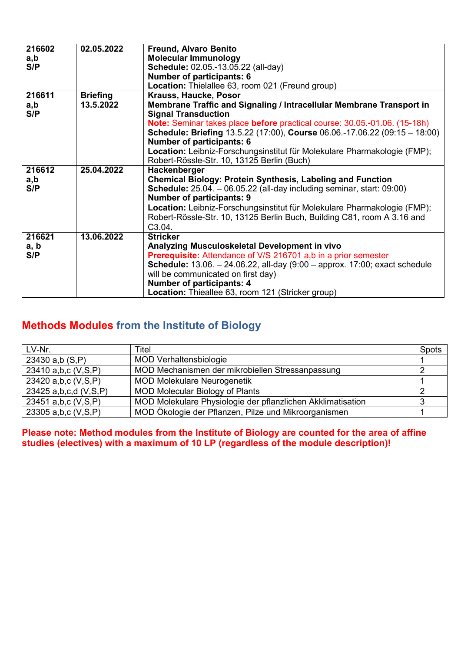| 216602 | 02.05.2022      | <b>Freund, Alvaro Benito</b>                                                                                                                                       |  |  |  |
|--------|-----------------|--------------------------------------------------------------------------------------------------------------------------------------------------------------------|--|--|--|
| a,b    |                 | <b>Molecular Immunology</b>                                                                                                                                        |  |  |  |
| S/P    |                 | Schedule: 02.05.-13.05.22 (all-day)                                                                                                                                |  |  |  |
|        |                 | <b>Number of participants: 6</b>                                                                                                                                   |  |  |  |
|        |                 | Location: Thielallee 63, room 021 (Freund group)                                                                                                                   |  |  |  |
| 216611 | <b>Briefing</b> | Krauss, Haucke, Posor                                                                                                                                              |  |  |  |
| a,b    | 13.5.2022       | Membrane Traffic and Signaling / Intracellular Membrane Transport in                                                                                               |  |  |  |
| S/P    |                 | <b>Signal Transduction</b>                                                                                                                                         |  |  |  |
|        |                 | Note: Seminar takes place before practical course: 30.05.-01.06. (15-18h)                                                                                          |  |  |  |
|        |                 | Schedule: Briefing 13.5.22 (17:00), Course 06.06.-17.06.22 (09:15 - 18:00)                                                                                         |  |  |  |
|        |                 | Number of participants: 6                                                                                                                                          |  |  |  |
|        |                 | Location: Leibniz-Forschungsinstitut für Molekulare Pharmakologie (FMP);                                                                                           |  |  |  |
|        |                 | Robert-Rössle-Str. 10, 13125 Berlin (Buch)                                                                                                                         |  |  |  |
| 216612 | 25.04.2022      | Hackenberger                                                                                                                                                       |  |  |  |
| a,b    |                 | <b>Chemical Biology: Protein Synthesis, Labeling and Function</b>                                                                                                  |  |  |  |
| S/P    |                 | <b>Schedule:</b> $25.04. -06.05.22$ (all-day including seminar, start: $09:00$ )                                                                                   |  |  |  |
|        |                 | Number of participants: 9                                                                                                                                          |  |  |  |
|        |                 | Location: Leibniz-Forschungsinstitut für Molekulare Pharmakologie (FMP);                                                                                           |  |  |  |
|        |                 | Robert-Rössle-Str. 10, 13125 Berlin Buch, Building C81, room A 3.16 and                                                                                            |  |  |  |
|        |                 | C <sub>3.04</sub> .                                                                                                                                                |  |  |  |
| 216621 | 13.06.2022      | <b>Stricker</b>                                                                                                                                                    |  |  |  |
| a, b   |                 | Analyzing Musculoskeletal Development in vivo                                                                                                                      |  |  |  |
| S/P    |                 | <b>Prerequisite:</b> Attendance of V/S 216701 a,b in a prior semester<br><b>Schedule:</b> $13.06. - 24.06.22$ , all-day $(9.00 -$ approx. $17.00$ ; exact schedule |  |  |  |
|        |                 | will be communicated on first day)                                                                                                                                 |  |  |  |
|        |                 | Number of participants: 4                                                                                                                                          |  |  |  |
|        |                 | Location: Thieallee 63, room 121 (Stricker group)                                                                                                                  |  |  |  |
|        |                 |                                                                                                                                                                    |  |  |  |

#### **Methods Modules from the Institute of Biology**

| LV-Nr.                     | Titel                                                       | Spots |
|----------------------------|-------------------------------------------------------------|-------|
| 23430 $a,b(S,P)$           | <b>MOD Verhaltensbiologie</b>                               |       |
| 23410 a,b,c (V,S,P)        | MOD Mechanismen der mikrobiellen Stressanpassung            |       |
| 23420 a,b,c (V,S,P)        | <b>MOD Molekulare Neurogenetik</b>                          |       |
| 23425 a, b, c, d (V, S, P) | <b>MOD Molecular Biology of Plants</b>                      |       |
| 23451 a,b,c (V,S,P)        | MOD Molekulare Physiologie der pflanzlichen Akklimatisation | 3     |
| 23305 a,b,c (V,S,P)        | MOD Ökologie der Pflanzen, Pilze und Mikroorganismen        |       |

**Please note: Method modules from the Institute of Biology are counted for the area of affine studies (electives) with a maximum of 10 LP (regardless of the module description)!**